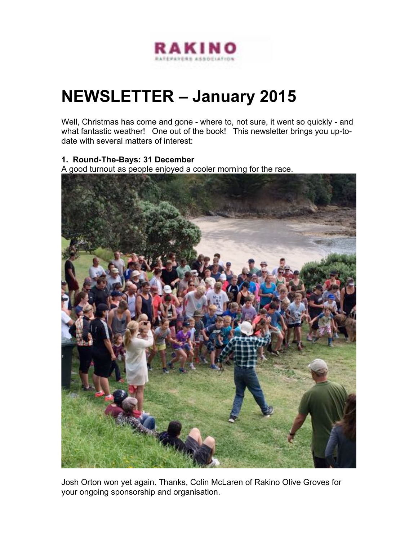

# **NEWSLETTER – January 2015**

Well, Christmas has come and gone - where to, not sure, it went so quickly - and what fantastic weather! One out of the book! This newsletter brings you up-todate with several matters of interest:

#### **1. Round-The-Bays: 31 December**

A good turnout as people enjoyed a cooler morning for the race.



Josh Orton won yet again. Thanks, Colin McLaren of Rakino Olive Groves for your ongoing sponsorship and organisation.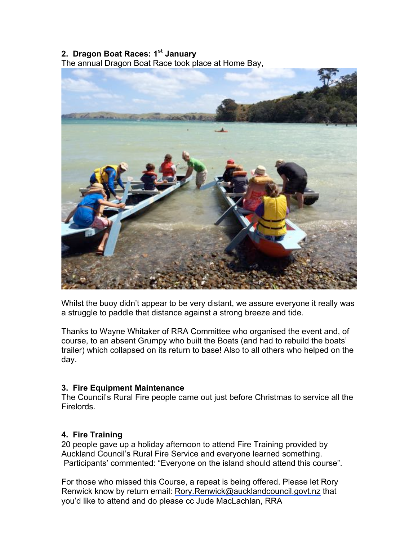## **2. Dragon Boat Races: 1st January**

The annual Dragon Boat Race took place at Home Bay,



Whilst the buoy didn't appear to be very distant, we assure everyone it really was a struggle to paddle that distance against a strong breeze and tide.

Thanks to Wayne Whitaker of RRA Committee who organised the event and, of course, to an absent Grumpy who built the Boats (and had to rebuild the boats' trailer) which collapsed on its return to base! Also to all others who helped on the day.

#### **3. Fire Equipment Maintenance**

The Council's Rural Fire people came out just before Christmas to service all the Firelords.

#### **4. Fire Training**

20 people gave up a holiday afternoon to attend Fire Training provided by Auckland Council's Rural Fire Service and everyone learned something. Participants' commented: "Everyone on the island should attend this course".

For those who missed this Course, a repeat is being offered. Please let Rory Renwick know by return email: Rory.Renwick@aucklandcouncil.govt.nz that you'd like to attend and do please cc Jude MacLachlan, RRA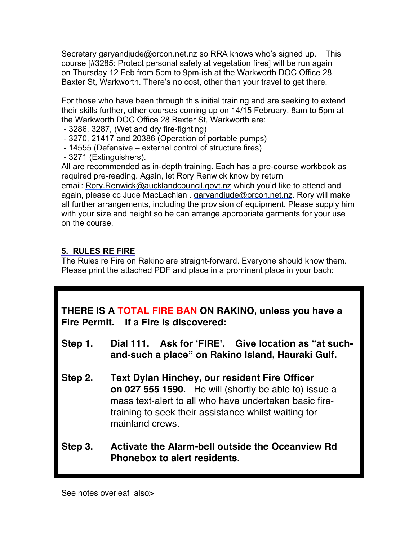Secretary garyandjude@orcon.net.nz so RRA knows who's signed up. This course [#3285: Protect personal safety at vegetation fires] will be run again on Thursday 12 Feb from 5pm to 9pm-ish at the Warkworth DOC Office 28 Baxter St, Warkworth. There's no cost, other than your travel to get there.

For those who have been through this initial training and are seeking to extend their skills further, other courses coming up on 14/15 February, 8am to 5pm at the Warkworth DOC Office 28 Baxter St, Warkworth are:

- 3286, 3287, (Wet and dry fire-fighting)
- 3270, 21417 and 20386 (Operation of portable pumps)
- 14555 (Defensive external control of structure fires)
- 3271 (Extinguishers).

All are recommended as in-depth training. Each has a pre-course workbook as required pre-reading. Again, let Rory Renwick know by return

email: Rory.Renwick@aucklandcouncil.govt.nz which you'd like to attend and again, please cc Jude MacLachlan . garyandjude@orcon.net.nz. Rory will make all further arrangements, including the provision of equipment. Please supply him with your size and height so he can arrange appropriate garments for your use on the course.

### **5. RULES RE FIRE**

The Rules re Fire on Rakino are straight-forward. Everyone should know them. Please print the attached PDF and place in a prominent place in your bach:

**THERE IS A TOTAL FIRE BAN ON RAKINO, unless you have a Fire Permit. If a Fire is discovered:**

- **Step 1. Dial 111. Ask for 'FIRE'. Give location as "at suchand-such a place" on Rakino Island, Hauraki Gulf.**
- **Step 2. Text Dylan Hinchey, our resident Fire Officer on 027 555 1590.** He will (shortly be able to) issue a mass text-alert to all who have undertaken basic firetraining to seek their assistance whilst waiting for mainland crews.
- **Step 3. Activate the Alarm-bell outside the Oceanview Rd Phonebox to alert residents.**